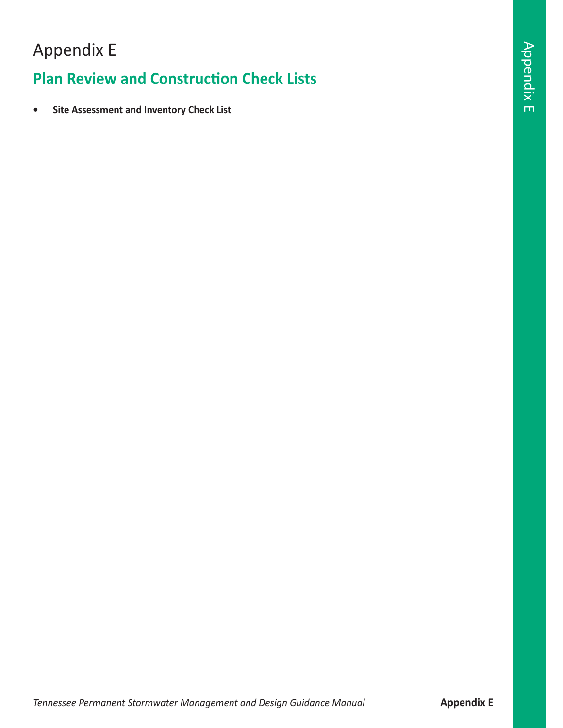# Appendix E

## **Plan Review and Construction Check Lists**

**• Site Assessment and Inventory Check List**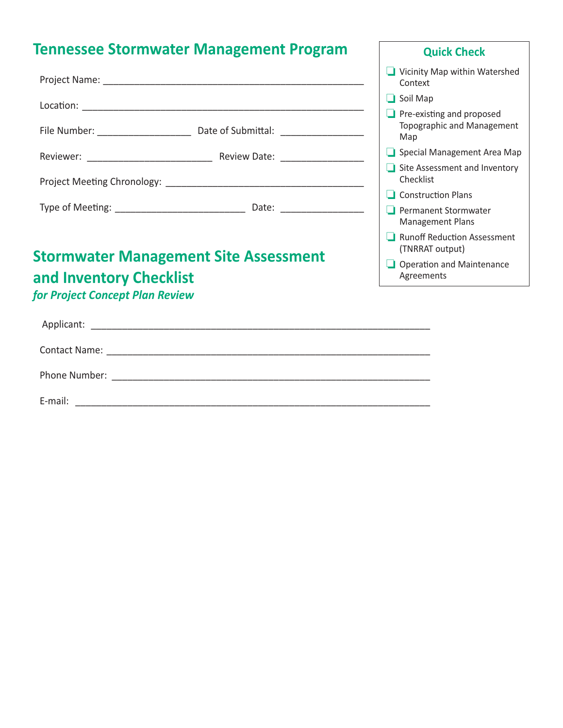# **Tennessee Stormwater Management Program**

|  |                                 | Vicinity Map within Watershed<br>Context                              |
|--|---------------------------------|-----------------------------------------------------------------------|
|  |                                 | $\Box$ Soil Map                                                       |
|  | File Number: Date of Submittal: | $\Box$ Pre-existing and proposed<br>Topographic and Management<br>Map |
|  | Special Management Area Map     |                                                                       |
|  | <b>Review Date:</b>             | Site Assessment and Inventory<br>Checklist                            |
|  |                                 | $\Box$ Construction Plans                                             |
|  |                                 | <b>Permanent Stormwater</b><br><b>Management Plans</b>                |
|  |                                 | <b>Runoff Reduction Assessment</b><br>(TNRRAT output)                 |

#### $\Box$  Operation and Maintenance Agreements

**Quick Check**

### **Stormwater Management Site Assessment and Inventory Checklist**

### *for Project Concept Plan Review*

| E-mail: |  |
|---------|--|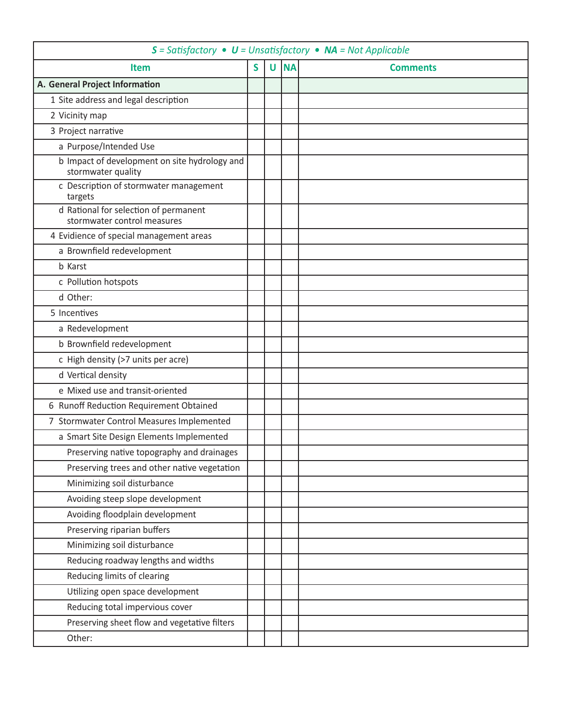| $S = Satisfactory \cdot U = Unsatisfactory \cdot NA = Not Applied$   |  |   |           |                 |  |  |
|----------------------------------------------------------------------|--|---|-----------|-----------------|--|--|
| Item                                                                 |  | U | <b>NA</b> | <b>Comments</b> |  |  |
| A. General Project Information                                       |  |   |           |                 |  |  |
| 1 Site address and legal description                                 |  |   |           |                 |  |  |
| 2 Vicinity map                                                       |  |   |           |                 |  |  |
| 3 Project narrative                                                  |  |   |           |                 |  |  |
| a Purpose/Intended Use                                               |  |   |           |                 |  |  |
| b Impact of development on site hydrology and<br>stormwater quality  |  |   |           |                 |  |  |
| c Description of stormwater management<br>targets                    |  |   |           |                 |  |  |
| d Rational for selection of permanent<br>stormwater control measures |  |   |           |                 |  |  |
| 4 Evidience of special management areas                              |  |   |           |                 |  |  |
| a Brownfield redevelopment                                           |  |   |           |                 |  |  |
| <b>b</b> Karst                                                       |  |   |           |                 |  |  |
| c Pollution hotspots                                                 |  |   |           |                 |  |  |
| d Other:                                                             |  |   |           |                 |  |  |
| 5 Incentives                                                         |  |   |           |                 |  |  |
| a Redevelopment                                                      |  |   |           |                 |  |  |
| b Brownfield redevelopment                                           |  |   |           |                 |  |  |
| c High density (>7 units per acre)                                   |  |   |           |                 |  |  |
| d Vertical density                                                   |  |   |           |                 |  |  |
| e Mixed use and transit-oriented                                     |  |   |           |                 |  |  |
| 6 Runoff Reduction Requirement Obtained                              |  |   |           |                 |  |  |
| 7 Stormwater Control Measures Implemented                            |  |   |           |                 |  |  |
| a Smart Site Design Elements Implemented                             |  |   |           |                 |  |  |
| Preserving native topography and drainages                           |  |   |           |                 |  |  |
| Preserving trees and other native vegetation                         |  |   |           |                 |  |  |
| Minimizing soil disturbance                                          |  |   |           |                 |  |  |
| Avoiding steep slope development                                     |  |   |           |                 |  |  |
| Avoiding floodplain development                                      |  |   |           |                 |  |  |
| Preserving riparian buffers                                          |  |   |           |                 |  |  |
| Minimizing soil disturbance                                          |  |   |           |                 |  |  |
| Reducing roadway lengths and widths                                  |  |   |           |                 |  |  |
| Reducing limits of clearing                                          |  |   |           |                 |  |  |
| Utilizing open space development                                     |  |   |           |                 |  |  |
| Reducing total impervious cover                                      |  |   |           |                 |  |  |
| Preserving sheet flow and vegetative filters                         |  |   |           |                 |  |  |
| Other:                                                               |  |   |           |                 |  |  |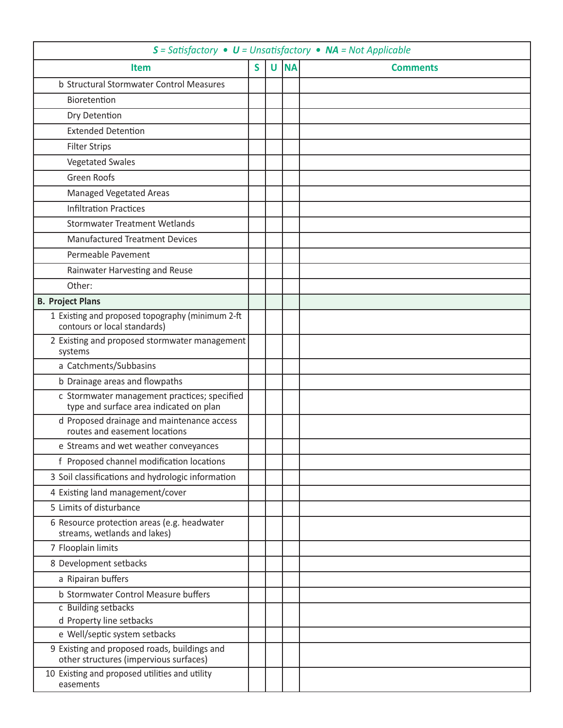| $S = Satisfactory \cdot U = Unsatisfactory \cdot NA = Not Applied$                      |   |  |      |                 |  |
|-----------------------------------------------------------------------------------------|---|--|------|-----------------|--|
| <b>Item</b>                                                                             | S |  | U NA | <b>Comments</b> |  |
| b Structural Stormwater Control Measures                                                |   |  |      |                 |  |
| Bioretention                                                                            |   |  |      |                 |  |
| Dry Detention                                                                           |   |  |      |                 |  |
| <b>Extended Detention</b>                                                               |   |  |      |                 |  |
| <b>Filter Strips</b>                                                                    |   |  |      |                 |  |
| <b>Vegetated Swales</b>                                                                 |   |  |      |                 |  |
| <b>Green Roofs</b>                                                                      |   |  |      |                 |  |
| <b>Managed Vegetated Areas</b>                                                          |   |  |      |                 |  |
| <b>Infiltration Practices</b>                                                           |   |  |      |                 |  |
| <b>Stormwater Treatment Wetlands</b>                                                    |   |  |      |                 |  |
| <b>Manufactured Treatment Devices</b>                                                   |   |  |      |                 |  |
| Permeable Pavement                                                                      |   |  |      |                 |  |
| Rainwater Harvesting and Reuse                                                          |   |  |      |                 |  |
| Other:                                                                                  |   |  |      |                 |  |
| <b>B. Project Plans</b>                                                                 |   |  |      |                 |  |
| 1 Existing and proposed topography (minimum 2-ft<br>contours or local standards)        |   |  |      |                 |  |
| 2 Existing and proposed stormwater management<br>systems                                |   |  |      |                 |  |
| a Catchments/Subbasins                                                                  |   |  |      |                 |  |
| b Drainage areas and flowpaths                                                          |   |  |      |                 |  |
| c Stormwater management practices; specified<br>type and surface area indicated on plan |   |  |      |                 |  |
| d Proposed drainage and maintenance access<br>routes and easement locations             |   |  |      |                 |  |
| e Streams and wet weather conveyances                                                   |   |  |      |                 |  |
| f Proposed channel modification locations                                               |   |  |      |                 |  |
| 3 Soil classifications and hydrologic information                                       |   |  |      |                 |  |
| 4 Existing land management/cover                                                        |   |  |      |                 |  |
| 5 Limits of disturbance                                                                 |   |  |      |                 |  |
| 6 Resource protection areas (e.g. headwater<br>streams, wetlands and lakes)             |   |  |      |                 |  |
| 7 Flooplain limits                                                                      |   |  |      |                 |  |
| 8 Development setbacks                                                                  |   |  |      |                 |  |
| a Ripairan buffers                                                                      |   |  |      |                 |  |
| b Stormwater Control Measure buffers                                                    |   |  |      |                 |  |
| c Building setbacks                                                                     |   |  |      |                 |  |
| d Property line setbacks                                                                |   |  |      |                 |  |
| e Well/septic system setbacks<br>9 Existing and proposed roads, buildings and           |   |  |      |                 |  |
| other structures (impervious surfaces)                                                  |   |  |      |                 |  |
| 10 Existing and proposed utilities and utility<br>easements                             |   |  |      |                 |  |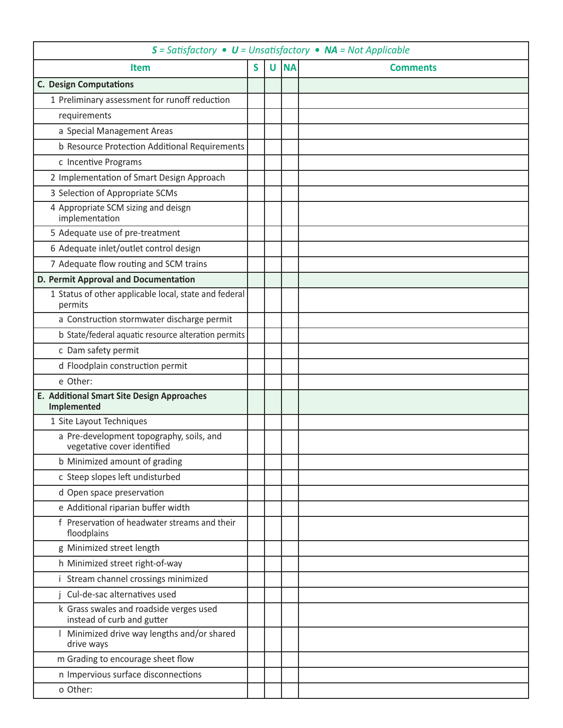| $S = Satisfactory \cdot U = Unsatisfactory \cdot NA = Not Applied$      |   |              |           |                 |  |
|-------------------------------------------------------------------------|---|--------------|-----------|-----------------|--|
| Item                                                                    | S | $\mathsf{U}$ | <b>NA</b> | <b>Comments</b> |  |
| <b>C. Design Computations</b>                                           |   |              |           |                 |  |
| 1 Preliminary assessment for runoff reduction                           |   |              |           |                 |  |
| requirements                                                            |   |              |           |                 |  |
| a Special Management Areas                                              |   |              |           |                 |  |
| b Resource Protection Additional Requirements                           |   |              |           |                 |  |
| c Incentive Programs                                                    |   |              |           |                 |  |
| 2 Implementation of Smart Design Approach                               |   |              |           |                 |  |
| 3 Selection of Appropriate SCMs                                         |   |              |           |                 |  |
| 4 Appropriate SCM sizing and deisgn<br>implementation                   |   |              |           |                 |  |
| 5 Adequate use of pre-treatment                                         |   |              |           |                 |  |
| 6 Adequate inlet/outlet control design                                  |   |              |           |                 |  |
| 7 Adequate flow routing and SCM trains                                  |   |              |           |                 |  |
| D. Permit Approval and Documentation                                    |   |              |           |                 |  |
| 1 Status of other applicable local, state and federal<br>permits        |   |              |           |                 |  |
| a Construction stormwater discharge permit                              |   |              |           |                 |  |
| b State/federal aquatic resource alteration permits                     |   |              |           |                 |  |
| c Dam safety permit                                                     |   |              |           |                 |  |
| d Floodplain construction permit                                        |   |              |           |                 |  |
| e Other:                                                                |   |              |           |                 |  |
| E. Additional Smart Site Design Approaches<br>Implemented               |   |              |           |                 |  |
| 1 Site Layout Techniques                                                |   |              |           |                 |  |
| a Pre-development topography, soils, and<br>vegetative cover identified |   |              |           |                 |  |
| b Minimized amount of grading                                           |   |              |           |                 |  |
| c Steep slopes left undisturbed                                         |   |              |           |                 |  |
| d Open space preservation                                               |   |              |           |                 |  |
| e Additional riparian buffer width                                      |   |              |           |                 |  |
| f Preservation of headwater streams and their<br>floodplains            |   |              |           |                 |  |
| g Minimized street length                                               |   |              |           |                 |  |
| h Minimized street right-of-way                                         |   |              |           |                 |  |
| i Stream channel crossings minimized                                    |   |              |           |                 |  |
| Cul-de-sac alternatives used                                            |   |              |           |                 |  |
| k Grass swales and roadside verges used<br>instead of curb and gutter   |   |              |           |                 |  |
| Minimized drive way lengths and/or shared<br>drive ways                 |   |              |           |                 |  |
| m Grading to encourage sheet flow                                       |   |              |           |                 |  |
| n Impervious surface disconnections                                     |   |              |           |                 |  |
| o Other:                                                                |   |              |           |                 |  |